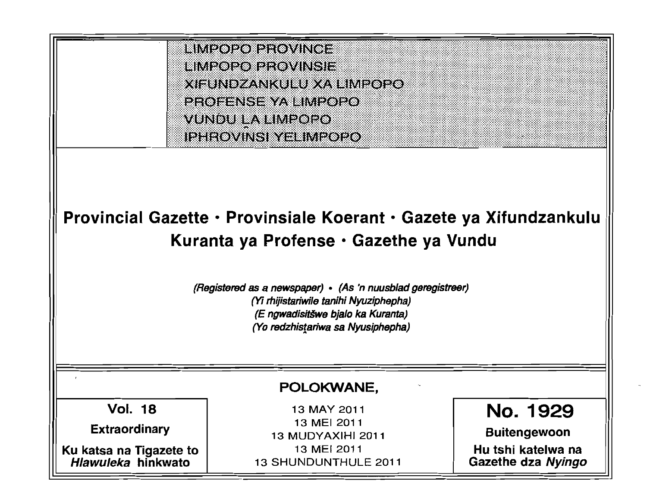